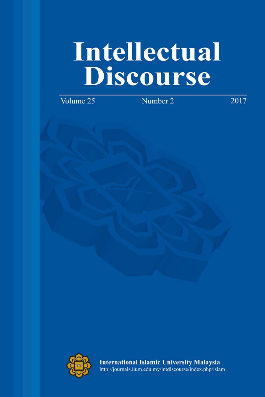# Intellectual **Discourse**

Volume 25

Number 2

2017



**International Islamic University Malaysia** http://journals.iium.edu.my/intdiscourse/index.php/islam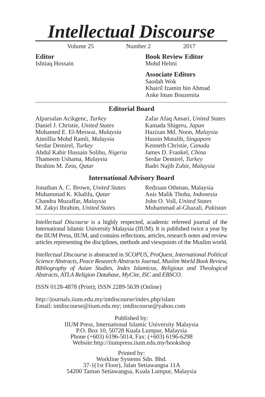## *Intellectual Discourse*

Volume 25 Number 2 2017

Ishtiaq Hossain Mohd Helmi

**Editor Book Review Editor**

**Associate Editors** Saodah Wok Khairil Izamin bin Ahmad Anke Iman Bouzenita

#### **Editorial Board**

Alparsalan Acikgenc, *Turkey* Zafar Afaq Ansari, *United States* Daniel J. Christie, *United States* Kamada Shigeru, *Japan* Mohamed E. El-Meswai, *Malaysia* Hazizan Md. Noon, *Malaysia* Aimillia Mohd Ramli, *Malaysia* Hussin Mutalib, *Singapore* Serdar Demirel, *Turkey* Kenneth Christie, *Canada* Abdul Kabir Hussain Solihu, *Nigeria* James D. Frankel, *China* Thameem Ushama, *Malaysia* **Serdar Demirel**, *Turkey* Ibrahim M. Zein, *Qatar* Badri Najib Zubir, *Malaysia*

#### **International Advisory Board**

| Jonathan A. C. Brown, United States | Redzuan Othman, Malaysia             |
|-------------------------------------|--------------------------------------|
| Muhammad K. Khalifa, <i>Qatar</i>   | Anis Malik Thoha, <i>Indonesia</i>   |
| Chandra Muzaffar, Malaysia          | John O. Voll, United States          |
| M. Zakyi Ibrahim, United States     | Muhammad al-Ghazali, <i>Pakistan</i> |
|                                     |                                      |

*Intellectual Discourse* is a highly respected, academic refereed journal of the International Islamic University Malaysia (IIUM). It is published twice a year by the IIUM Press, IIUM, and contains reflections, articles, research notes and review articles representing the disciplines, methods and viewpoints of the Muslim world.

*Intellectual Discourse* is abstracted in *SCOPUS, ProQuest, International Political Science Abstracts, Peace Research Abstracts Journal, Muslim World Book Review, Bibliography of Asian Studies, Index Islamicus, Religious and Theological Abstracts, ATLA Religion Database, MyCite, ISC* and *EBSCO*.

ISSN 0128-4878 (Print); ISSN 2289-5639 (Online)

http://journals.iium.edu.my/intdiscourse/index.php/islam Email: intdiscourse@iium.edu.my; intdiscourse@yahoo.com

> Published by: IIUM Press, International Islamic University Malaysia P.O. Box 10, 50728 Kuala Lumpur, Malaysia Phone (+603) 6196-5014, Fax: (+603) 6196-6298 Website:http://iiumpress.iium.edu.my/bookshop

Printed by: Workline Systems Sdn. Bhd. 37-1(1st Floor), Jalan Setiawangsa 11A 54200 Taman Setiawangsa, Kuala Lumpur, Malaysia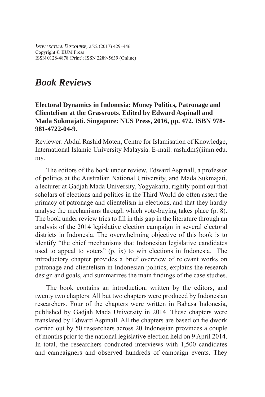*INTELLECTUAL DISCOURSE,* 25:2 (2017) 429–446 Copyright © IIUM Press ISSN 0128-4878 (Print); ISSN 2289-5639 (Online)

### *Book Reviews*

#### **Electoral Dynamics in Indonesia: Money Politics, Patronage and Clientelism at the Grassroots. Edited by Edward Aspinall and Mada Sukmajati. Singapore: NUS Press, 2016, pp. 472. ISBN 978- 981-4722-04-9.**

Reviewer: Abdul Rashid Moten, Centre for Islamisation of Knowledge, International Islamic University Malaysia. E-mail: rashidm@iium.edu. my.

The editors of the book under review, Edward Aspinall, a professor of politics at the Australian National University, and Mada Sukmajati, a lecturer at Gadjah Mada University, Yogyakarta, rightly point out that scholars of elections and politics in the Third World do often assert the primacy of patronage and clientelism in elections, and that they hardly analyse the mechanisms through which vote-buying takes place (p. 8). The book under review tries to fill in this gap in the literature through an analysis of the 2014 legislative election campaign in several electoral districts in Indonesia. The overwhelming objective of this book is to identify "the chief mechanisms that Indonesian legislative candidates used to appeal to voters" (p. ix) to win elections in Indonesia. The introductory chapter provides a brief overview of relevant works on patronage and clientelism in Indonesian politics, explains the research design and goals, and summarizes the main findings of the case studies.

The book contains an introduction, written by the editors, and twenty two chapters. All but two chapters were produced by Indonesian researchers. Four of the chapters were written in Bahasa Indonesia, published by Gadjah Mada University in 2014. These chapters were translated by Edward Aspinall. All the chapters are based on fieldwork carried out by 50 researchers across 20 Indonesian provinces a couple of months prior to the national legislative election held on 9 April 2014. In total, the researchers conducted interviews with 1,500 candidates and campaigners and observed hundreds of campaign events. They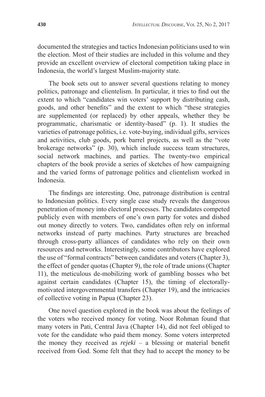documented the strategies and tactics Indonesian politicians used to win the election. Most of their studies are included in this volume and they provide an excellent overview of electoral competition taking place in Indonesia, the world's largest Muslim-majority state.

The book sets out to answer several questions relating to money politics, patronage and clientelism. In particular, it tries to find out the extent to which "candidates win voters' support by distributing cash, goods, and other benefits" and the extent to which "these strategies" are supplemented (or replaced) by other appeals, whether they be programmatic, charismatic or identity-based" (p. 1). It studies the varieties of patronage politics, i.e. vote-buying, individual gifts, services and activities, club goods, pork barrel projects, as well as the "vote brokerage networks" (p. 30), which include success team structures, social network machines, and parties. The twenty-two empirical chapters of the book provide a series of sketches of how campaigning and the varied forms of patronage politics and clientelism worked in Indonesia.

The findings are interesting. One, patronage distribution is central to Indonesian politics. Every single case study reveals the dangerous penetration of money into electoral processes. The candidates competed publicly even with members of one's own party for votes and dished out money directly to voters. Two, candidates often rely on informal networks instead of party machines. Party structures are breached through cross-party alliances of candidates who rely on their own resources and networks. Interestingly, some contributors have explored the use of "formal contracts" between candidates and voters (Chapter 3), the effect of gender quotas (Chapter 9), the role of trade unions (Chapter 11), the meticulous de-mobilizing work of gambling bosses who bet against certain candidates (Chapter 15), the timing of electorallymotivated intergovernmental transfers (Chapter 19), and the intricacies of collective voting in Papua (Chapter 23).

One novel question explored in the book was about the feelings of the voters who received money for voting. Noor Rohman found that many voters in Pati, Central Java (Chapter 14), did not feel obliged to vote for the candidate who paid them money. Some voters interpreted the money they received as *rejeki* – a blessing or material benefit received from God. Some felt that they had to accept the money to be